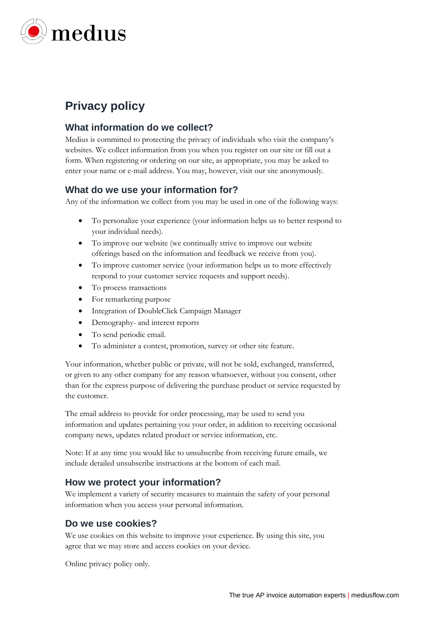

# **Privacy policy**

#### **What information do we collect?**

Medius is committed to protecting the privacy of individuals who visit the company's websites. We collect information from you when you register on our site or fill out a form. When registering or ordering on our site, as appropriate, you may be asked to enter your name or e-mail address. You may, however, visit our site anonymously.

## **What do we use your information for?**

Any of the information we collect from you may be used in one of the following ways:

- To personalize your experience (your information helps us to better respond to your individual needs).
- To improve our website (we continually strive to improve our website offerings based on the information and feedback we receive from you).
- To improve customer service (your information helps us to more effectively respond to your customer service requests and support needs).
- To process transactions
- For remarketing purpose
- Integration of DoubleClick Campaign Manager
- Demography- and interest reports
- To send periodic email.
- To administer a contest, promotion, survey or other site feature.

Your information, whether public or private, will not be sold, exchanged, transferred, or given to any other company for any reason whatsoever, without you consent, other than for the express purpose of delivering the purchase product or service requested by the customer.

The email address to provide for order processing, may be used to send you information and updates pertaining you your order, in addition to receiving occasional company news, updates related product or service information, etc.

Note: If at any time you would like to unsubscribe from receiving future emails, we include detailed unsubscribe instructions at the bottom of each mail.

## **How we protect your information?**

We implement a variety of security measures to maintain the safety of your personal information when you access your personal information.

## **Do we use cookies?**

We use cookies on this website to improve your experience. By using this site, you agree that we may store and access cookies on your device.

Online privacy policy only.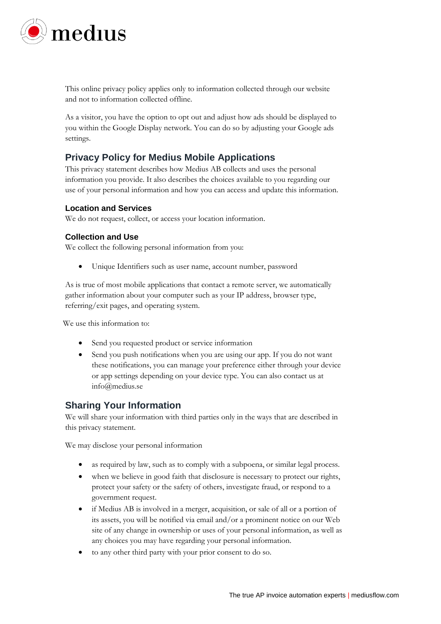

This online privacy policy applies only to information collected through our website and not to information collected offline.

As a visitor, you have the option to opt out and adjust how ads should be displayed to you within the Google Display network. You can do so by adjusting your Google ads settings.

## **Privacy Policy for Medius Mobile Applications**

This privacy statement describes how Medius AB collects and uses the personal information you provide. It also describes the choices available to you regarding our use of your personal information and how you can access and update this information.

#### **Location and Services**

We do not request, collect, or access your location information.

#### **Collection and Use**

We collect the following personal information from you:

• Unique Identifiers such as user name, account number, password

As is true of most mobile applications that contact a remote server, we automatically gather information about your computer such as your IP address, browser type, referring/exit pages, and operating system.

We use this information to:

- Send you requested product or service information
- Send you push notifications when you are using our app. If you do not want these notifications, you can manage your preference either through your device or app settings depending on your device type. You can also contact us at info@medius.se

## **Sharing Your Information**

We will share your information with third parties only in the ways that are described in this privacy statement.

We may disclose your personal information

- as required by law, such as to comply with a subpoena, or similar legal process.
- when we believe in good faith that disclosure is necessary to protect our rights, protect your safety or the safety of others, investigate fraud, or respond to a government request.
- if Medius AB is involved in a merger, acquisition, or sale of all or a portion of its assets, you will be notified via email and/or a prominent notice on our Web site of any change in ownership or uses of your personal information, as well as any choices you may have regarding your personal information.
- to any other third party with your prior consent to do so.